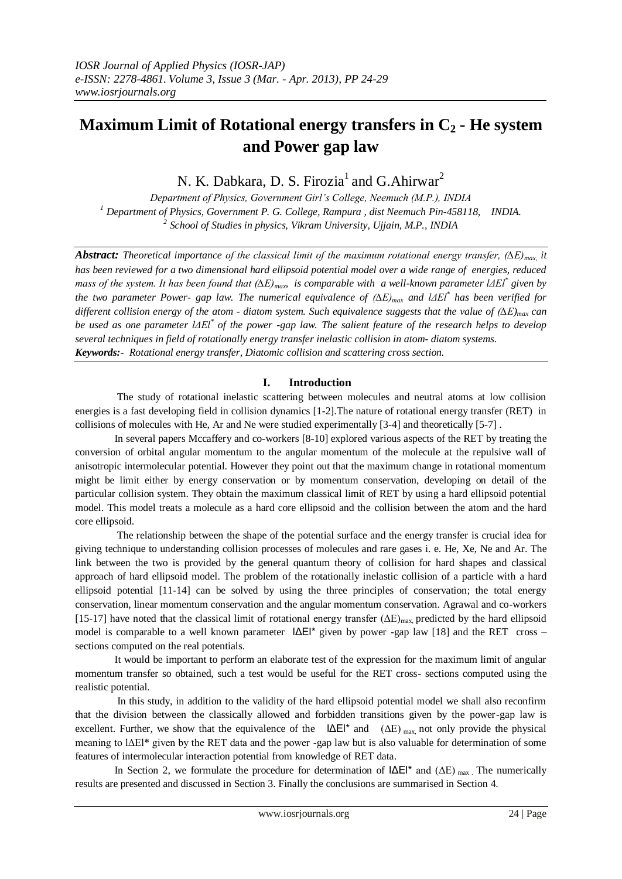# **Maximum Limit of Rotational energy transfers in C<sup>2</sup> - He system and Power gap law**

N. K. Dabkara, D. S. Firozia<sup>1</sup> and G.Ahirwar<sup>2</sup>

*Department of Physics, Government Girl's College, Neemuch (M.P.), INDIA <sup>1</sup> Department of Physics, Government P. G. College, Rampura , dist Neemuch Pin-458118, INDIA. 2 School of Studies in physics, Vikram University, Ujjain, M.P., INDIA*

*Abstract: Theoretical importance of the classical limit of the maximum rotational energy transfer, (∆E)max, it has been reviewed for a two dimensional hard ellipsoid potential model over a wide range of energies, reduced mass of the system. It has been found that (∆E)max, is comparable with a well-known parameter lΔEl\* given by the two parameter Power- gap law. The numerical equivalence of (∆E)max and lΔEl\* has been verified for different collision energy of the atom - diatom system. Such equivalence suggests that the value of*  $(\Delta E)_{max}$  *can be used as one parameter lΔEl\* of the power -gap law. The salient feature of the research helps to develop several techniques in field of rotationally energy transfer inelastic collision in atom- diatom systems. Keywords:- Rotational energy transfer, Diatomic collision and scattering cross section.*

# **I. Introduction**

 The study of rotational inelastic scattering between molecules and neutral atoms at low collision energies is a fast developing field in collision dynamics [1-2].The nature of rotational energy transfer (RET) in collisions of molecules with He, Ar and Ne were studied experimentally [3-4] and theoretically [5-7] .

 In several papers Mccaffery and co-workers [8-10] explored various aspects of the RET by treating the conversion of orbital angular momentum to the angular momentum of the molecule at the repulsive wall of anisotropic intermolecular potential. However they point out that the maximum change in rotational momentum might be limit either by energy conservation or by momentum conservation, developing on detail of the particular collision system. They obtain the maximum classical limit of RET by using a hard ellipsoid potential model. This model treats a molecule as a hard core ellipsoid and the collision between the atom and the hard core ellipsoid.

 The relationship between the shape of the potential surface and the energy transfer is crucial idea for giving technique to understanding collision processes of molecules and rare gases i. e. He, Xe, Ne and Ar. The link between the two is provided by the general quantum theory of collision for hard shapes and classical approach of hard ellipsoid model. The problem of the rotationally inelastic collision of a particle with a hard ellipsoid potential [11-14] can be solved by using the three principles of conservation; the total energy conservation, linear momentum conservation and the angular momentum conservation. Agrawal and co-workers [15-17] have noted that the classical limit of rotational energy transfer  $(\Delta E)_{\text{max}}$ , predicted by the hard ellipsoid model is comparable to a well known parameter lΔEl\* given by power -gap law [18] and the RET cross – sections computed on the real potentials.

 It would be important to perform an elaborate test of the expression for the maximum limit of angular momentum transfer so obtained, such a test would be useful for the RET cross- sections computed using the realistic potential.

 In this study, in addition to the validity of the hard ellipsoid potential model we shall also reconfirm that the division between the classically allowed and forbidden transitions given by the power-gap law is excellent. Further, we show that the equivalence of the  $|\Delta E|^*$  and  $(\Delta E)_{\text{max}}$ , not only provide the physical meaning to lΔEl\* given by the RET data and the power -gap law but is also valuable for determination of some features of intermolecular interaction potential from knowledge of RET data.

In Section 2, we formulate the procedure for determination of  $|\Delta E|^*$  and  $(\Delta E)_{\text{max}}$ . The numerically results are presented and discussed in Section 3. Finally the conclusions are summarised in Section 4.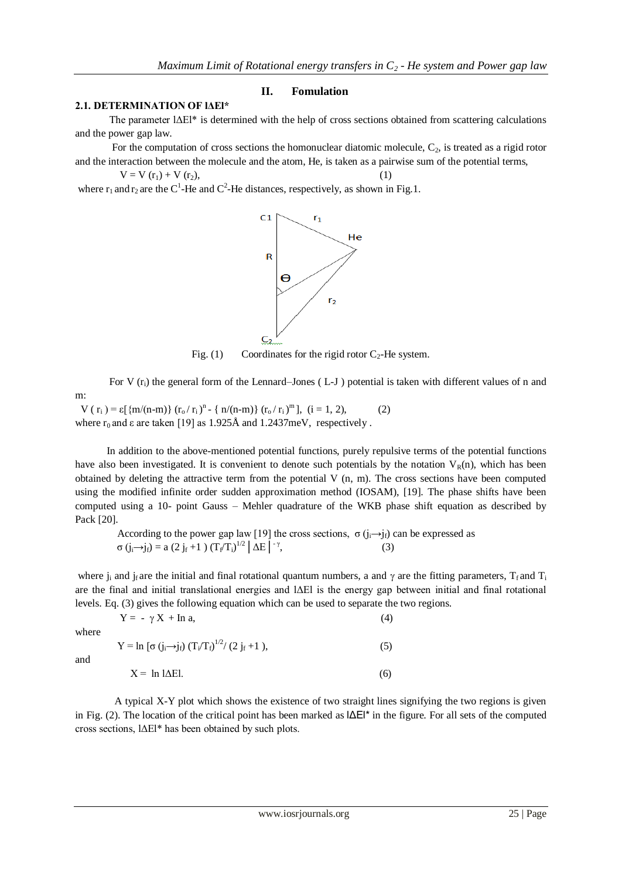## **II. Fomulation**

### **2.1. DETERMINATION OF lΔEl\***

 The parameter lΔEl\* is determined with the help of cross sections obtained from scattering calculations and the power gap law.

For the computation of cross sections the homonuclear diatomic molecule,  $C_2$ , is treated as a rigid rotor and the interaction between the molecule and the atom, He, is taken as a pairwise sum of the potential terms,

 $V = V(r_1) + V(r_2)$ ,

where  $r_1$  and  $r_2$  are the C<sup>1</sup>-He and C<sup>2</sup>-He distances, respectively, as shown in Fig.1.



Fig. (1) Coordinates for the rigid rotor  $C_2$ -He system.

For V (r<sub>i</sub>) the general form of the Lennard–Jones (L-J) potential is taken with different values of n and

 $V(r_i) = \varepsilon [\{m/(n-m)\} (r_o/r_i)^n - \{n/(n-m)\} (r_o/r_i)^m], (i = 1, 2),$  (2) where  $r_0$  and  $\varepsilon$  are taken [19] as 1.925Å and 1.2437meV, respectively.

 In addition to the above-mentioned potential functions, purely repulsive terms of the potential functions have also been investigated. It is convenient to denote such potentials by the notation  $V_R(n)$ , which has been obtained by deleting the attractive term from the potential V (n, m). The cross sections have been computed using the modified infinite order sudden approximation method (IOSAM), [19]. The phase shifts have been computed using a 10- point Gauss – Mehler quadrature of the WKB phase shift equation as described by Pack [20].

According to the power gap law [19] the cross sections,  $\sigma(j_i\rightarrow j_i)$  can be expressed as  $\sigma(j_i\rightarrow j_f) = a(2 j_f +1) (T_f/T_i)^{1/2}$  ΔE  $\vert \bar{\gamma}$  $(3)$ 

where  $j_i$  and  $j_f$  are the initial and final rotational quantum numbers, a and  $\gamma$  are the fitting parameters, T<sub>f</sub> and T<sub>i</sub> are the final and initial translational energies and lΔEl is the energy gap between initial and final rotational levels. Eq. (3) gives the following equation which can be used to separate the two regions.

where

and

m:

where  
\n
$$
Y = \ln [\sigma (j_i \rightarrow j_f) (T_i/T_f)^{1/2} / (2 j_f + 1),
$$
\n(5)  
\nand  
\n
$$
X = \ln |\Delta E|.
$$
\n(6)

 $Y = - \gamma X + \ln a$ , (4)

 A typical X-Y plot which shows the existence of two straight lines signifying the two regions is given in Fig. (2). The location of the critical point has been marked as  $|\Delta E|^*$  in the figure. For all sets of the computed cross sections, lΔEl\* has been obtained by such plots.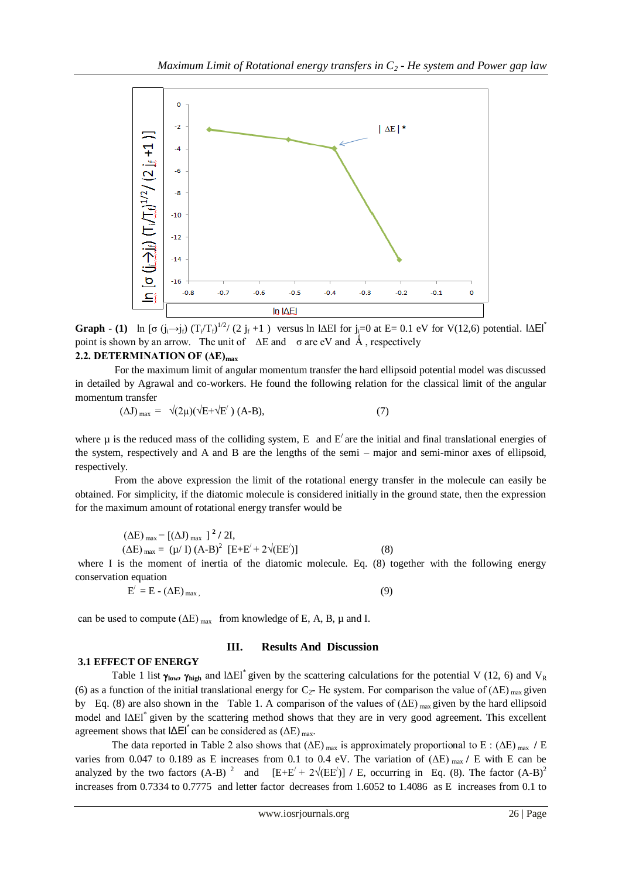

**Graph -** (1) ln [ $\sigma$  (j<sub>i</sub>→j<sub>f</sub>) (T<sub>i</sub>/T<sub>f</sub>)<sup>1/2</sup>/ (2 j<sub>f</sub> +1) versus ln l∆El for j<sub>i</sub>=0 at E= 0.1 eV for V(12,6) potential. l∆El<sup>\*</sup> point is shown by an arrow. The unit of  $\Delta E$  and  $\sigma$  are eV and  $\hat{A}$ , respectively

# **2.2. DETERMINATION OF (ΔE)max**

 For the maximum limit of angular momentum transfer the hard ellipsoid potential model was discussed in detailed by Agrawal and co-workers. He found the following relation for the classical limit of the angular momentum transfer

$$
(\Delta J)_{\text{max}} = \sqrt{(2\mu)(\sqrt{E} + \sqrt{E'})} (A-B), \qquad (7)
$$

where  $\mu$  is the reduced mass of the colliding system, E and  $E'$  are the initial and final translational energies of the system, respectively and A and B are the lengths of the semi – major and semi-minor axes of ellipsoid, respectively.

 From the above expression the limit of the rotational energy transfer in the molecule can easily be obtained. For simplicity, if the diatomic molecule is considered initially in the ground state, then the expression for the maximum amount of rotational energy transfer would be

$$
(\Delta E)_{max} = [(\Delta J)_{max}]^2 / 2I,(\Delta E)_{max} = (\mu / I) (A - B)^2 [E + E' + 2\sqrt{(EE')}]
$$
(8)

where I is the moment of inertia of the diatomic molecule. Eq. (8) together with the following energy conservation equation

$$
E' = E - (\Delta E)_{max}, \qquad (9)
$$

can be used to compute  $(\Delta E)_{max}$  from knowledge of E, A, B,  $\mu$  and I.

### **III. Results And Discussion**

### **3.1 EFFECT OF ENERGY**

Table 1 list  $\gamma_{\text{low}}$ ,  $\gamma_{\text{high}}$  and l $\Delta$ El<sup>\*</sup> given by the scattering calculations for the potential V (12, 6) and V<sub>R</sub> (6) as a function of the initial translational energy for  $C_2$ - He system. For comparison the value of ( $\Delta E$ ) <sub>max</sub> given by Eq. (8) are also shown in the Table 1. A comparison of the values of  $(\Delta E)_{max}$  given by the hard ellipsoid model and lΔEl<sup>\*</sup> given by the scattering method shows that they are in very good agreement. This excellent agreement shows that  $|\Delta \Xi|$  can be considered as  $(\Delta E)$  <sub>max</sub>.

The data reported in Table 2 also shows that  $(\Delta E)_{max}$  is approximately proportional to E :  $(\Delta E)_{max}$  / E varies from 0.047 to 0.189 as E increases from 0.1 to 0.4 eV. The variation of (ΔE) max **/** E with E can be analyzed by the two factors  $(A-B)^2$  and  $[E+E'+2\sqrt{(EE')}] / E$ , occurring in Eq. (8). The factor  $(A-B)^2$ increases from 0.7334 to 0.7775 and letter factor decreases from 1.6052 to 1.4086 as E increases from 0.1 to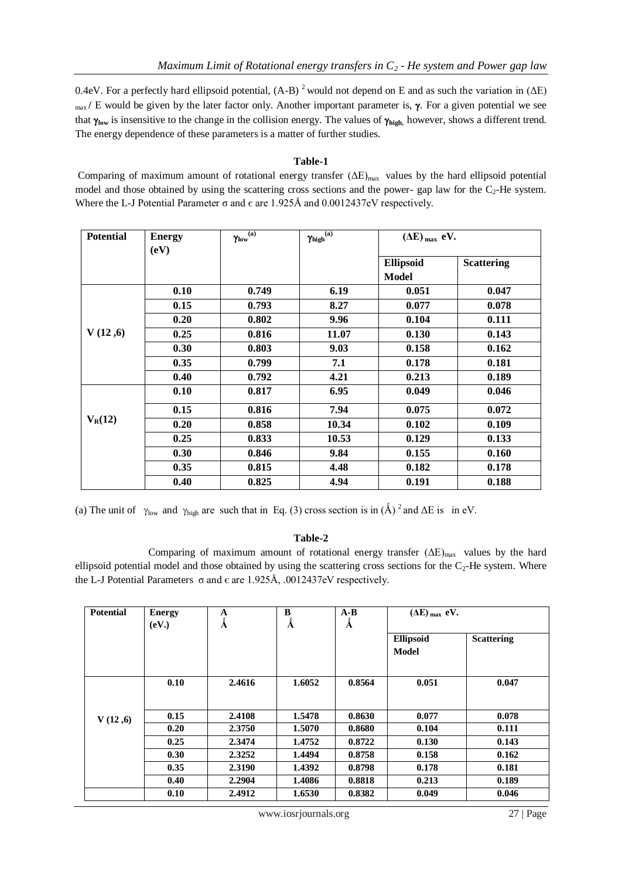0.4eV. For a perfectly hard ellipsoid potential,  $(A-B)^2$  would not depend on E and as such the variation in ( $\Delta E$ ) max / E would be given by the later factor only. Another important parameter is,  $\gamma$ . For a given potential we see that  $\gamma_{\text{low}}$  is insensitive to the change in the collision energy. The values of  $\gamma_{\text{high}}$ , however, shows a different trend. The energy dependence of these parameters is a matter of further studies.

# **Table-1**

Comparing of maximum amount of rotational energy transfer  $(\Delta E)_{max}$  values by the hard ellipsoid potential model and those obtained by using the scattering cross sections and the power- gap law for the  $C_2$ -He system. Where the L-J Potential Parameter  $\sigma$  and  $\epsilon$  are 1.925Å and 0.0012437eV respectively.

| <b>Potential</b> | <b>Energy</b> | $\gamma_{\rm low}{}^{(\rm a)}$ | $\gamma_{\rm high}{}^{({\rm a})}$ | $(\Delta E)_{max}$ eV. |                   |
|------------------|---------------|--------------------------------|-----------------------------------|------------------------|-------------------|
|                  | (eV)          |                                |                                   |                        |                   |
|                  |               |                                |                                   | <b>Ellipsoid</b>       | <b>Scattering</b> |
|                  |               |                                |                                   | <b>Model</b>           |                   |
|                  | 0.10          | 0.749                          | 6.19                              | 0.051                  | 0.047             |
|                  | 0.15          | 0.793                          | 8.27                              | 0.077                  | 0.078             |
|                  | 0.20          | 0.802                          | 9.96                              | 0.104                  | 0.111             |
| V(12,6)          | 0.25          | 0.816                          | 11.07                             | 0.130                  | 0.143             |
|                  | 0.30          | 0.803                          | 9.03                              | 0.158                  | 0.162             |
|                  | 0.35          | 0.799                          | 7.1                               | 0.178                  | 0.181             |
|                  | 0.40          | 0.792                          | 4.21                              | 0.213                  | 0.189             |
|                  | 0.10          | 0.817                          | 6.95                              | 0.049                  | 0.046             |
| $V_R(12)$        | 0.15          | 0.816                          | 7.94                              | 0.075                  | 0.072             |
|                  | 0.20          | 0.858                          | 10.34                             | 0.102                  | 0.109             |
|                  | 0.25          | 0.833                          | 10.53                             | 0.129                  | 0.133             |
|                  | 0.30          | 0.846                          | 9.84                              | 0.155                  | 0.160             |
|                  | 0.35          | 0.815                          | 4.48                              | 0.182                  | 0.178             |
|                  | 0.40          | 0.825                          | 4.94                              | 0.191                  | 0.188             |

(a) The unit of  $\gamma_{low}$  and  $\gamma_{high}$  are such that in Eq. (3) cross section is in (Å) <sup>2</sup> and  $\Delta E$  is in eV.

# **Table-2**

Comparing of maximum amount of rotational energy transfer  $(\Delta E)_{max}$  values by the hard ellipsoid potential model and those obtained by using the scattering cross sections for the  $C_2$ -He system. Where the L-J Potential Parameters  $\sigma$  and  $\epsilon$  are 1.925Å, .0012437eV respectively.

| <b>Potential</b> | <b>Energy</b> | A<br>Å | B<br>Å | $A-B$<br>Å | $(\Delta E)_{\text{max}}$ eV. |                   |
|------------------|---------------|--------|--------|------------|-------------------------------|-------------------|
|                  | (eV.)         |        |        |            |                               |                   |
|                  |               |        |        |            | <b>Ellipsoid</b>              | <b>Scattering</b> |
|                  |               |        |        |            | Model                         |                   |
|                  |               |        |        |            |                               |                   |
|                  | 0.10          | 2.4616 | 1.6052 | 0.8564     | 0.051                         | 0.047             |
|                  |               |        |        |            |                               |                   |
| V(12,6)          | 0.15          | 2.4108 | 1.5478 | 0.8630     | 0.077                         | 0.078             |
|                  | 0.20          | 2.3750 | 1.5070 | 0.8680     | 0.104                         | 0.111             |
|                  | 0.25          | 2.3474 | 1.4752 | 0.8722     | 0.130                         | 0.143             |
|                  | 0.30          | 2.3252 | 1.4494 | 0.8758     | 0.158                         | 0.162             |
|                  | 0.35          | 2.3190 | 1.4392 | 0.8798     | 0.178                         | 0.181             |
|                  | 0.40          | 2.2904 | 1.4086 | 0.8818     | 0.213                         | 0.189             |
|                  | 0.10          | 2.4912 | 1.6530 | 0.8382     | 0.049                         | 0.046             |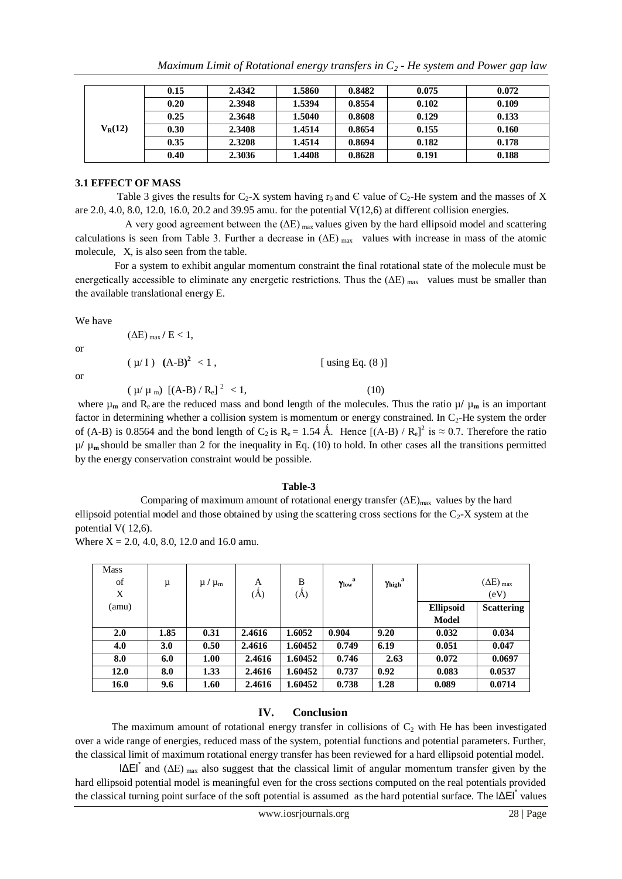| $V_R(12)$ | 0.15 | 2.4342 | 1.5860 | 0.8482 | 0.075 | 0.072 |
|-----------|------|--------|--------|--------|-------|-------|
|           | 0.20 | 2.3948 | 1.5394 | 0.8554 | 0.102 | 0.109 |
|           | 0.25 | 2.3648 | 1.5040 | 0.8608 | 0.129 | 0.133 |
|           | 0.30 | 2.3408 | 1.4514 | 0.8654 | 0.155 | 0.160 |
|           | 0.35 | 2.3208 | 1.4514 | 0.8694 | 0.182 | 0.178 |
|           | 0.40 | 2.3036 | 1.4408 | 0.8628 | 0.191 | 0.188 |

#### **3.1 EFFECT OF MASS**

Table 3 gives the results for  $C_2$ -X system having  $r_0$  and  $\epsilon$  value of  $C_2$ -He system and the masses of X are 2.0, 4.0, 8.0, 12.0, 16.0, 20.2 and 39.95 amu. for the potential  $V(12,6)$  at different collision energies.

A very good agreement between the  $(\Delta E)$  max values given by the hard ellipsoid model and scattering calculations is seen from Table 3. Further a decrease in  $(\Delta E)_{\text{max}}$  values with increase in mass of the atomic molecule, X, is also seen from the table.

 For a system to exhibit angular momentum constraint the final rotational state of the molecule must be energetically accessible to eliminate any energetic restrictions. Thus the  $(\Delta E)_{\text{max}}$  values must be smaller than the available translational energy E.

We have

or

or

 $(\Delta E)_{\text{max}}/E < 1$ ,  $(\mu / I)$   $(A-B)^2 < 1$ .  $[$  using Eq.  $(8)$ ]  $(\mu/\mu_m)$  [(A-B) / R<sub>e</sub>]<sup>2</sup> < 1, (10)

where  $\mu_m$  and  $R_e$  are the reduced mass and bond length of the molecules. Thus the ratio  $\mu/\mu_m$  is an important factor in determining whether a collision system is momentum or energy constrained. In  $C_2$ -He system the order of (A-B) is 0.8564 and the bond length of  $C_2$  is  $R_e = 1.54$  Å. Hence  $[(A-B) / R_e]^2$  is  $\approx 0.7$ . Therefore the ratio  $\mu$ /  $\mu$ <sub>m</sub> should be smaller than 2 for the inequality in Eq. (10) to hold. In other cases all the transitions permitted by the energy conservation constraint would be possible.

#### **Table-3**

Comparing of maximum amount of rotational energy transfer  $(\Delta E)_{max}$  values by the hard ellipsoid potential model and those obtained by using the scattering cross sections for the  $C_2$ -X system at the potential V( 12,6).

Where  $X = 2.0, 4.0, 8.0, 12.0$  and 16.0 amu.

| <b>Mass</b><br>of<br>X | μ    | $\mu$ / $\mu_{\rm m}$ | A<br>(Å) | B<br>(Å) | $\gamma_{\rm low}^{\quad \  \  a}$ | $\gamma_{\rm high}^{\rm a}$ |                  | $(\Delta E)_{max}$<br>(eV) |
|------------------------|------|-----------------------|----------|----------|------------------------------------|-----------------------------|------------------|----------------------------|
| (amu)                  |      |                       |          |          |                                    |                             | <b>Ellipsoid</b> | <b>Scattering</b>          |
|                        |      |                       |          |          |                                    |                             | <b>Model</b>     |                            |
| 2.0                    | 1.85 | 0.31                  | 2.4616   | 1.6052   | 0.904                              | 9.20                        | 0.032            | 0.034                      |
| 4.0                    | 3.0  | 0.50                  | 2.4616   | 1.60452  | 0.749                              | 6.19                        | 0.051            | 0.047                      |
| 8.0                    | 6.0  | 1.00                  | 2.4616   | 1.60452  | 0.746                              | 2.63                        | 0.072            | 0.0697                     |
| 12.0                   | 8.0  | 1.33                  | 2.4616   | 1.60452  | 0.737                              | 0.92                        | 0.083            | 0.0537                     |
| 16.0                   | 9.6  | 1.60                  | 2.4616   | 1.60452  | 0.738                              | 1.28                        | 0.089            | 0.0714                     |

### **IV. Conclusion**

The maximum amount of rotational energy transfer in collisions of  $C_2$  with He has been investigated over a wide range of energies, reduced mass of the system, potential functions and potential parameters. Further, the classical limit of maximum rotational energy transfer has been reviewed for a hard ellipsoid potential model.

 $|\Delta E|^*$  and ( $\Delta E$ ) <sub>max</sub> also suggest that the classical limit of angular momentum transfer given by the hard ellipsoid potential model is meaningful even for the cross sections computed on the real potentials provided the classical turning point surface of the soft potential is assumed as the hard potential surface. The  $|\Delta E|$ <sup>\*</sup> values